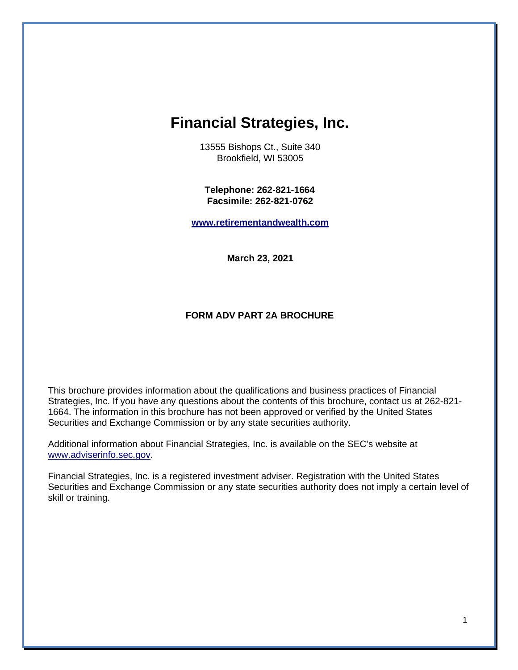# <span id="page-0-0"></span>**Financial Strategies, Inc.**

13555 Bishops Ct., Suite 340 Brookfield, WI 53005

**Telephone: 262-821-1664 Facsimile: 262-821-0762**

**[www.retirementandwealth.com](http://www.retirementandwealth.com/)**

**March 23, 2021**

#### **FORM ADV PART 2A BROCHURE**

This brochure provides information about the qualifications and business practices of Financial Strategies, Inc. If you have any questions about the contents of this brochure, contact us at 262-821- 1664. The information in this brochure has not been approved or verified by the United States Securities and Exchange Commission or by any state securities authority.

Additional information about Financial Strategies, Inc. is available on the SEC's website at [www.adviserinfo.sec.gov.](http://www.adviserinfo.sec.gov/)

Financial Strategies, Inc. is a registered investment adviser. Registration with the United States Securities and Exchange Commission or any state securities authority does not imply a certain level of skill or training.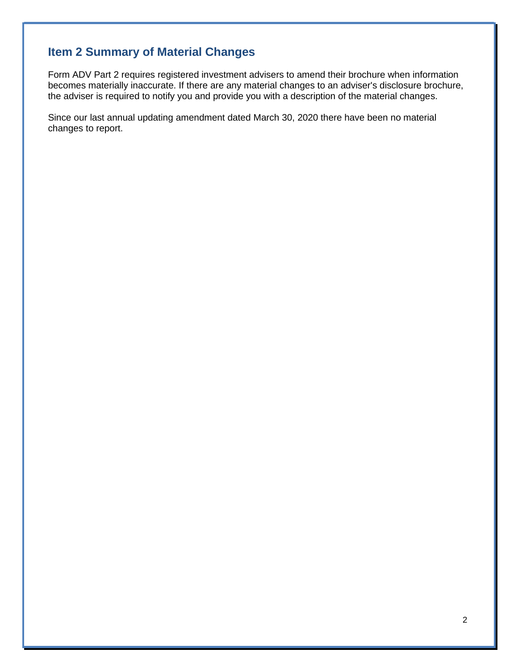# <span id="page-1-0"></span>**Item 2 Summary of Material Changes**

Form ADV Part 2 requires registered investment advisers to amend their brochure when information becomes materially inaccurate. If there are any material changes to an adviser's disclosure brochure, the adviser is required to notify you and provide you with a description of the material changes.

Since our last annual updating amendment dated March 30, 2020 there have been no material changes to report.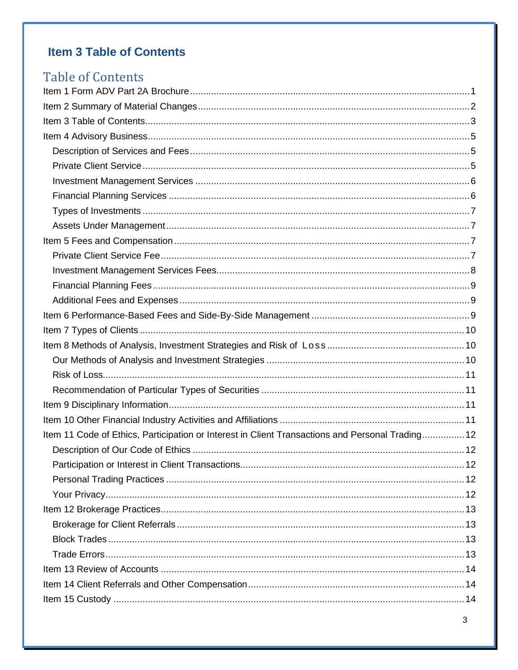# <span id="page-2-0"></span>**Item 3 Table of Contents**

# **Table of Contents** Item 11 Code of Ethics, Participation or Interest in Client Transactions and Personal Trading................ 12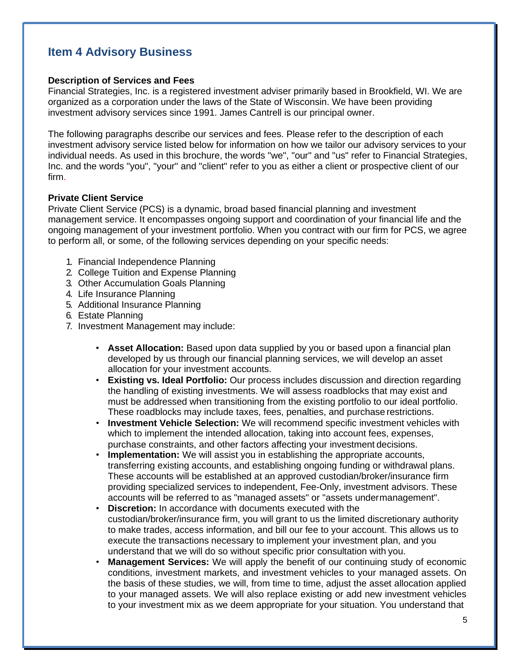# <span id="page-4-0"></span>**Item 4 Advisory Business**

#### <span id="page-4-1"></span>**Description of Services and Fees**

Financial Strategies, Inc. is a registered investment adviser primarily based in Brookfield, WI. We are organized as a corporation under the laws of the State of Wisconsin. We have been providing investment advisory services since 1991. James Cantrell is our principal owner.

The following paragraphs describe our services and fees. Please refer to the description of each investment advisory service listed below for information on how we tailor our advisory services to your individual needs. As used in this brochure, the words "we", "our" and "us" refer to Financial Strategies, Inc. and the words "you", "your" and "client" refer to you as either a client or prospective client of our firm.

#### <span id="page-4-2"></span>**Private Client Service**

Private Client Service (PCS) is a dynamic, broad based financial planning and investment management service. It encompasses ongoing support and coordination of your financial life and the ongoing management of your investment portfolio. When you contract with our firm for PCS, we agree to perform all, or some, of the following services depending on your specific needs:

- 1. Financial Independence Planning
- 2. College Tuition and Expense Planning
- 3. Other Accumulation Goals Planning
- 4. Life Insurance Planning
- 5. Additional Insurance Planning
- 6. Estate Planning
- 7. Investment Management may include:
	- **Asset Allocation:** Based upon data supplied by you or based upon a financial plan developed by us through our financial planning services, we will develop an asset allocation for your investment accounts.
	- **Existing vs. Ideal Portfolio:** Our process includes discussion and direction regarding the handling of existing investments. We will assess roadblocks that may exist and must be addressed when transitioning from the existing portfolio to our ideal portfolio. These roadblocks may include taxes, fees, penalties, and purchase restrictions.
	- **Investment Vehicle Selection:** We will recommend specific investment vehicles with which to implement the intended allocation, taking into account fees, expenses, purchase constraints, and other factors affecting your investment decisions.
	- **Implementation:** We will assist you in establishing the appropriate accounts, transferring existing accounts, and establishing ongoing funding or withdrawal plans. These accounts will be established at an approved custodian/broker/insurance firm providing specialized services to independent, Fee-Only, investment advisors. These accounts will be referred to as "managed assets" or "assets undermanagement".
	- **Discretion:** In accordance with documents executed with the custodian/broker/insurance firm, you will grant to us the limited discretionary authority to make trades, access information, and bill our fee to your account. This allows us to execute the transactions necessary to implement your investment plan, and you understand that we will do so without specific prior consultation with you.
	- **Management Services:** We will apply the benefit of our continuing study of economic conditions, investment markets, and investment vehicles to your managed assets. On the basis of these studies, we will, from time to time, adjust the asset allocation applied to your managed assets. We will also replace existing or add new investment vehicles to your investment mix as we deem appropriate for your situation. You understand that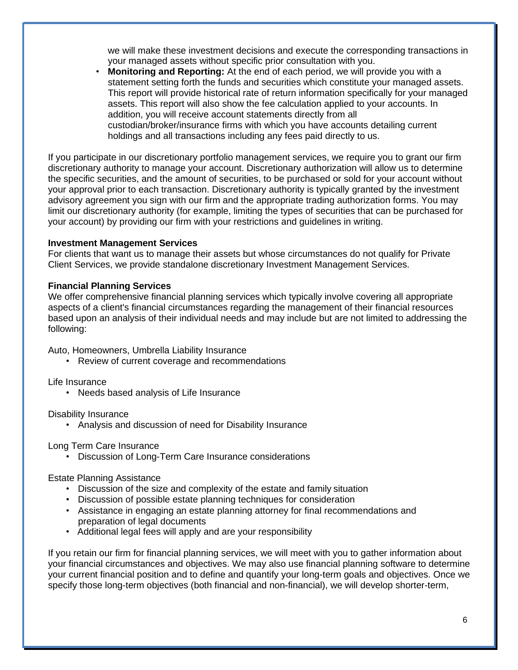we will make these investment decisions and execute the corresponding transactions in your managed assets without specific prior consultation with you.

• **Monitoring and Reporting:** At the end of each period, we will provide you with a statement setting forth the funds and securities which constitute your managed assets. This report will provide historical rate of return information specifically for your managed assets. This report will also show the fee calculation applied to your accounts. In addition, you will receive account statements directly from all custodian/broker/insurance firms with which you have accounts detailing current holdings and all transactions including any fees paid directly to us.

If you participate in our discretionary portfolio management services, we require you to grant our firm discretionary authority to manage your account. Discretionary authorization will allow us to determine the specific securities, and the amount of securities, to be purchased or sold for your account without your approval prior to each transaction. Discretionary authority is typically granted by the investment advisory agreement you sign with our firm and the appropriate trading authorization forms. You may limit our discretionary authority (for example, limiting the types of securities that can be purchased for your account) by providing our firm with your restrictions and guidelines in writing.

#### <span id="page-5-0"></span>**Investment Management Services**

For clients that want us to manage their assets but whose circumstances do not qualify for Private Client Services, we provide standalone discretionary Investment Management Services.

#### <span id="page-5-1"></span>**Financial Planning Services**

We offer comprehensive financial planning services which typically involve covering all appropriate aspects of a client's financial circumstances regarding the management of their financial resources based upon an analysis of their individual needs and may include but are not limited to addressing the following:

Auto, Homeowners, Umbrella Liability Insurance

• Review of current coverage and recommendations

Life Insurance

• Needs based analysis of Life Insurance

Disability Insurance

• Analysis and discussion of need for Disability Insurance

Long Term Care Insurance

• Discussion of Long-Term Care Insurance considerations

Estate Planning Assistance

- Discussion of the size and complexity of the estate and family situation
- Discussion of possible estate planning techniques for consideration
- Assistance in engaging an estate planning attorney for final recommendations and preparation of legal documents
- Additional legal fees will apply and are your responsibility

If you retain our firm for financial planning services, we will meet with you to gather information about your financial circumstances and objectives. We may also use financial planning software to determine your current financial position and to define and quantify your long-term goals and objectives. Once we specify those long-term objectives (both financial and non-financial), we will develop shorter-term,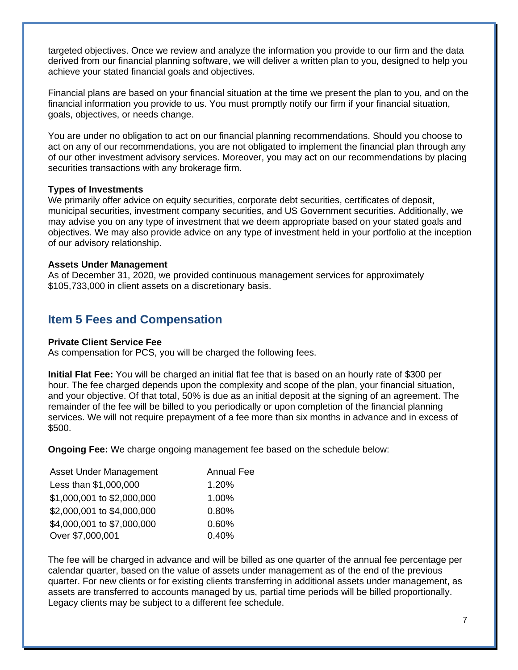targeted objectives. Once we review and analyze the information you provide to our firm and the data derived from our financial planning software, we will deliver a written plan to you, designed to help you achieve your stated financial goals and objectives.

Financial plans are based on your financial situation at the time we present the plan to you, and on the financial information you provide to us. You must promptly notify our firm if your financial situation, goals, objectives, or needs change.

You are under no obligation to act on our financial planning recommendations. Should you choose to act on any of our recommendations, you are not obligated to implement the financial plan through any of our other investment advisory services. Moreover, you may act on our recommendations by placing securities transactions with any brokerage firm.

#### <span id="page-6-0"></span>**Types of Investments**

We primarily offer advice on equity securities, corporate debt securities, certificates of deposit, municipal securities, investment company securities, and US Government securities. Additionally, we may advise you on any type of investment that we deem appropriate based on your stated goals and objectives. We may also provide advice on any type of investment held in your portfolio at the inception of our advisory relationship.

#### <span id="page-6-1"></span>**Assets Under Management**

As of December 31, 2020, we provided continuous management services for approximately \$105,733,000 in client assets on a discretionary basis.

### <span id="page-6-2"></span>**Item 5 Fees and Compensation**

#### <span id="page-6-3"></span>**Private Client Service Fee**

As compensation for PCS, you will be charged the following fees.

**Initial Flat Fee:** You will be charged an initial flat fee that is based on an hourly rate of \$300 per hour. The fee charged depends upon the complexity and scope of the plan, your financial situation, and your objective. Of that total, 50% is due as an initial deposit at the signing of an agreement. The remainder of the fee will be billed to you periodically or upon completion of the financial planning services. We will not require prepayment of a fee more than six months in advance and in excess of \$500.

**Ongoing Fee:** We charge ongoing management fee based on the schedule below:

| Asset Under Management     | <b>Annual Fee</b> |
|----------------------------|-------------------|
| Less than \$1,000,000      | 1.20%             |
| \$1,000,001 to \$2,000,000 | 1.00%             |
| \$2,000,001 to \$4,000,000 | 0.80%             |
| \$4,000,001 to \$7,000,000 | 0.60%             |
| Over \$7,000,001           | 0.40%             |

The fee will be charged in advance and will be billed as one quarter of the annual fee percentage per calendar quarter, based on the value of assets under management as of the end of the previous quarter. For new clients or for existing clients transferring in additional assets under management, as assets are transferred to accounts managed by us, partial time periods will be billed proportionally. Legacy clients may be subject to a different fee schedule.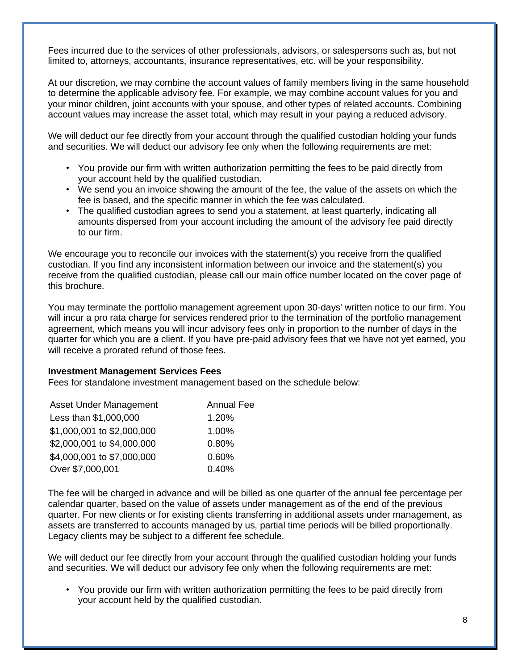Fees incurred due to the services of other professionals, advisors, or salespersons such as, but not limited to, attorneys, accountants, insurance representatives, etc. will be your responsibility.

At our discretion, we may combine the account values of family members living in the same household to determine the applicable advisory fee. For example, we may combine account values for you and your minor children, joint accounts with your spouse, and other types of related accounts. Combining account values may increase the asset total, which may result in your paying a reduced advisory.

We will deduct our fee directly from your account through the qualified custodian holding your funds and securities. We will deduct our advisory fee only when the following requirements are met:

- You provide our firm with written authorization permitting the fees to be paid directly from your account held by the qualified custodian.
- We send you an invoice showing the amount of the fee, the value of the assets on which the fee is based, and the specific manner in which the fee was calculated.
- The qualified custodian agrees to send you a statement, at least quarterly, indicating all amounts dispersed from your account including the amount of the advisory fee paid directly to our firm.

We encourage you to reconcile our invoices with the statement(s) you receive from the qualified custodian. If you find any inconsistent information between our invoice and the statement(s) you receive from the qualified custodian, please call our main office number located on the cover page of this brochure.

You may terminate the portfolio management agreement upon 30-days' written notice to our firm. You will incur a pro rata charge for services rendered prior to the termination of the portfolio management agreement, which means you will incur advisory fees only in proportion to the number of days in the quarter for which you are a client. If you have pre-paid advisory fees that we have not yet earned, you will receive a prorated refund of those fees.

#### <span id="page-7-0"></span>**Investment Management Services Fees**

Fees for standalone investment management based on the schedule below:

| Asset Under Management     | <b>Annual Fee</b> |
|----------------------------|-------------------|
| Less than \$1,000,000      | 1.20%             |
| \$1,000,001 to \$2,000,000 | 1.00%             |
| \$2,000,001 to \$4,000,000 | 0.80%             |
| \$4,000,001 to \$7,000,000 | 0.60%             |
| Over \$7,000,001           | 0.40%             |

The fee will be charged in advance and will be billed as one quarter of the annual fee percentage per calendar quarter, based on the value of assets under management as of the end of the previous quarter. For new clients or for existing clients transferring in additional assets under management, as assets are transferred to accounts managed by us, partial time periods will be billed proportionally. Legacy clients may be subject to a different fee schedule.

We will deduct our fee directly from your account through the qualified custodian holding your funds and securities. We will deduct our advisory fee only when the following requirements are met:

• You provide our firm with written authorization permitting the fees to be paid directly from your account held by the qualified custodian.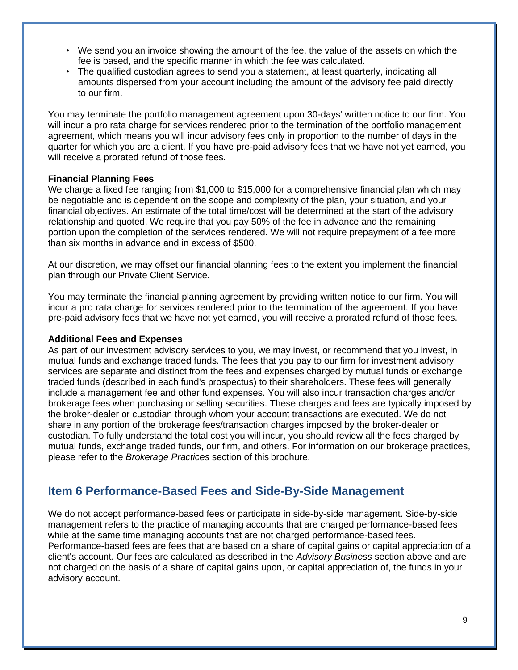- We send you an invoice showing the amount of the fee, the value of the assets on which the fee is based, and the specific manner in which the fee was calculated.
- The qualified custodian agrees to send you a statement, at least quarterly, indicating all amounts dispersed from your account including the amount of the advisory fee paid directly to our firm.

You may terminate the portfolio management agreement upon 30-days' written notice to our firm. You will incur a pro rata charge for services rendered prior to the termination of the portfolio management agreement, which means you will incur advisory fees only in proportion to the number of days in the quarter for which you are a client. If you have pre-paid advisory fees that we have not yet earned, you will receive a prorated refund of those fees.

#### <span id="page-8-0"></span>**Financial Planning Fees**

We charge a fixed fee ranging from \$1,000 to \$15,000 for a comprehensive financial plan which may be negotiable and is dependent on the scope and complexity of the plan, your situation, and your financial objectives. An estimate of the total time/cost will be determined at the start of the advisory relationship and quoted. We require that you pay 50% of the fee in advance and the remaining portion upon the completion of the services rendered. We will not require prepayment of a fee more than six months in advance and in excess of \$500.

At our discretion, we may offset our financial planning fees to the extent you implement the financial plan through our Private Client Service.

You may terminate the financial planning agreement by providing written notice to our firm. You will incur a pro rata charge for services rendered prior to the termination of the agreement. If you have pre-paid advisory fees that we have not yet earned, you will receive a prorated refund of those fees.

#### <span id="page-8-1"></span>**Additional Fees and Expenses**

As part of our investment advisory services to you, we may invest, or recommend that you invest, in mutual funds and exchange traded funds. The fees that you pay to our firm for investment advisory services are separate and distinct from the fees and expenses charged by mutual funds or exchange traded funds (described in each fund's prospectus) to their shareholders. These fees will generally include a management fee and other fund expenses. You will also incur transaction charges and/or brokerage fees when purchasing or selling securities. These charges and fees are typically imposed by the broker-dealer or custodian through whom your account transactions are executed. We do not share in any portion of the brokerage fees/transaction charges imposed by the broker-dealer or custodian. To fully understand the total cost you will incur, you should review all the fees charged by mutual funds, exchange traded funds, our firm, and others. For information on our brokerage practices, please refer to the *Brokerage Practices* section of this brochure.

### <span id="page-8-2"></span>**Item 6 Performance-Based Fees and Side-By-Side Management**

We do not accept performance-based fees or participate in side-by-side management. Side-by-side management refers to the practice of managing accounts that are charged performance-based fees while at the same time managing accounts that are not charged performance-based fees. Performance-based fees are fees that are based on a share of capital gains or capital appreciation of a client's account. Our fees are calculated as described in the *Advisory Business* section above and are not charged on the basis of a share of capital gains upon, or capital appreciation of, the funds in your advisory account.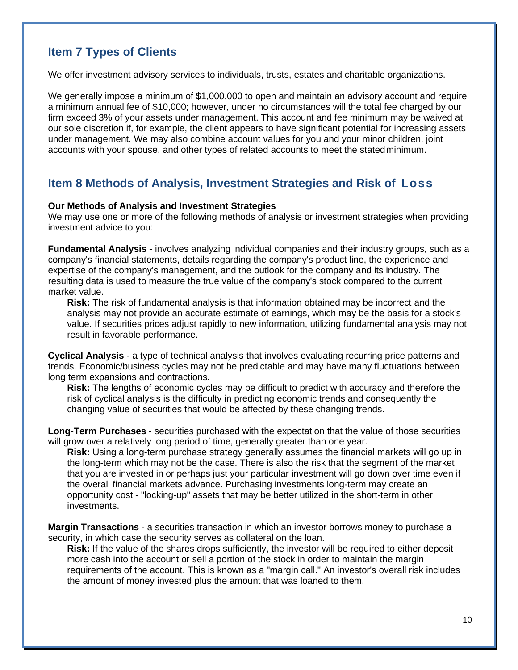# <span id="page-9-0"></span>**Item 7 Types of Clients**

We offer investment advisory services to individuals, trusts, estates and charitable organizations.

We generally impose a minimum of \$1,000,000 to open and maintain an advisory account and require a minimum annual fee of \$10,000; however, under no circumstances will the total fee charged by our firm exceed 3% of your assets under management. This account and fee minimum may be waived at our sole discretion if, for example, the client appears to have significant potential for increasing assets under management. We may also combine account values for you and your minor children, joint accounts with your spouse, and other types of related accounts to meet the statedminimum.

### <span id="page-9-1"></span>**Item 8 Methods of Analysis, Investment Strategies and Risk of Loss**

#### <span id="page-9-2"></span>**Our Methods of Analysis and Investment Strategies**

We may use one or more of the following methods of analysis or investment strategies when providing investment advice to you:

**Fundamental Analysis** - involves analyzing individual companies and their industry groups, such as a company's financial statements, details regarding the company's product line, the experience and expertise of the company's management, and the outlook for the company and its industry. The resulting data is used to measure the true value of the company's stock compared to the current market value.

**Risk:** The risk of fundamental analysis is that information obtained may be incorrect and the analysis may not provide an accurate estimate of earnings, which may be the basis for a stock's value. If securities prices adjust rapidly to new information, utilizing fundamental analysis may not result in favorable performance.

**Cyclical Analysis** - a type of technical analysis that involves evaluating recurring price patterns and trends. Economic/business cycles may not be predictable and may have many fluctuations between long term expansions and contractions.

**Risk:** The lengths of economic cycles may be difficult to predict with accuracy and therefore the risk of cyclical analysis is the difficulty in predicting economic trends and consequently the changing value of securities that would be affected by these changing trends.

**Long-Term Purchases** - securities purchased with the expectation that the value of those securities will grow over a relatively long period of time, generally greater than one year.

**Risk:** Using a long-term purchase strategy generally assumes the financial markets will go up in the long-term which may not be the case. There is also the risk that the segment of the market that you are invested in or perhaps just your particular investment will go down over time even if the overall financial markets advance. Purchasing investments long-term may create an opportunity cost - "locking-up" assets that may be better utilized in the short-term in other investments.

**Margin Transactions** - a securities transaction in which an investor borrows money to purchase a security, in which case the security serves as collateral on the loan.

**Risk:** If the value of the shares drops sufficiently, the investor will be required to either deposit more cash into the account or sell a portion of the stock in order to maintain the margin requirements of the account. This is known as a "margin call." An investor's overall risk includes the amount of money invested plus the amount that was loaned to them.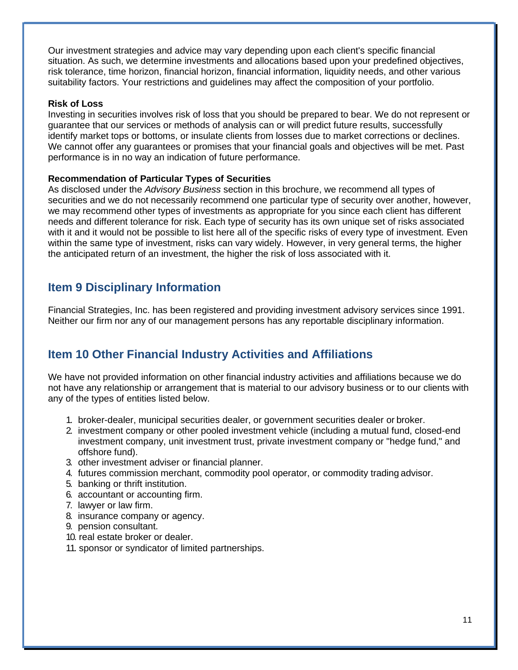Our investment strategies and advice may vary depending upon each client's specific financial situation. As such, we determine investments and allocations based upon your predefined objectives, risk tolerance, time horizon, financial horizon, financial information, liquidity needs, and other various suitability factors. Your restrictions and guidelines may affect the composition of your portfolio.

#### <span id="page-10-0"></span>**Risk of Loss**

Investing in securities involves risk of loss that you should be prepared to bear. We do not represent or guarantee that our services or methods of analysis can or will predict future results, successfully identify market tops or bottoms, or insulate clients from losses due to market corrections or declines. We cannot offer any guarantees or promises that your financial goals and objectives will be met. Past performance is in no way an indication of future performance.

#### <span id="page-10-1"></span>**Recommendation of Particular Types of Securities**

As disclosed under the *Advisory Business* section in this brochure, we recommend all types of securities and we do not necessarily recommend one particular type of security over another, however, we may recommend other types of investments as appropriate for you since each client has different needs and different tolerance for risk. Each type of security has its own unique set of risks associated with it and it would not be possible to list here all of the specific risks of every type of investment. Even within the same type of investment, risks can vary widely. However, in very general terms, the higher the anticipated return of an investment, the higher the risk of loss associated with it.

### <span id="page-10-2"></span>**Item 9 Disciplinary Information**

Financial Strategies, Inc. has been registered and providing investment advisory services since 1991. Neither our firm nor any of our management persons has any reportable disciplinary information.

# <span id="page-10-3"></span>**Item 10 Other Financial Industry Activities and Affiliations**

We have not provided information on other financial industry activities and affiliations because we do not have any relationship or arrangement that is material to our advisory business or to our clients with any of the types of entities listed below.

- 1. broker-dealer, municipal securities dealer, or government securities dealer or broker.
- 2. investment company or other pooled investment vehicle (including a mutual fund, closed-end investment company, unit investment trust, private investment company or "hedge fund," and offshore fund).
- 3. other investment adviser or financial planner.
- 4. futures commission merchant, commodity pool operator, or commodity trading advisor.
- 5. banking or thrift institution.
- 6. accountant or accounting firm.
- 7. lawyer or law firm.
- 8. insurance company or agency.
- 9. pension consultant.
- 10. real estate broker or dealer.
- 11. sponsor or syndicator of limited partnerships.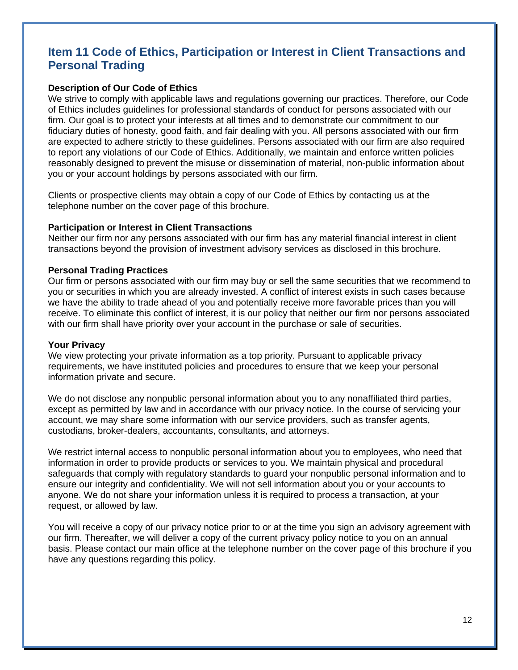# <span id="page-11-0"></span>**Item 11 Code of Ethics, Participation or Interest in Client Transactions and Personal Trading**

#### <span id="page-11-1"></span>**Description of Our Code of Ethics**

We strive to comply with applicable laws and regulations governing our practices. Therefore, our Code of Ethics includes guidelines for professional standards of conduct for persons associated with our firm. Our goal is to protect your interests at all times and to demonstrate our commitment to our fiduciary duties of honesty, good faith, and fair dealing with you. All persons associated with our firm are expected to adhere strictly to these guidelines. Persons associated with our firm are also required to report any violations of our Code of Ethics. Additionally, we maintain and enforce written policies reasonably designed to prevent the misuse or dissemination of material, non-public information about you or your account holdings by persons associated with our firm.

Clients or prospective clients may obtain a copy of our Code of Ethics by contacting us at the telephone number on the cover page of this brochure.

#### <span id="page-11-2"></span>**Participation or Interest in Client Transactions**

Neither our firm nor any persons associated with our firm has any material financial interest in client transactions beyond the provision of investment advisory services as disclosed in this brochure.

#### <span id="page-11-3"></span>**Personal Trading Practices**

Our firm or persons associated with our firm may buy or sell the same securities that we recommend to you or securities in which you are already invested. A conflict of interest exists in such cases because we have the ability to trade ahead of you and potentially receive more favorable prices than you will receive. To eliminate this conflict of interest, it is our policy that neither our firm nor persons associated with our firm shall have priority over your account in the purchase or sale of securities.

#### <span id="page-11-4"></span>**Your Privacy**

We view protecting your private information as a top priority. Pursuant to applicable privacy requirements, we have instituted policies and procedures to ensure that we keep your personal information private and secure.

We do not disclose any nonpublic personal information about you to any nonaffiliated third parties, except as permitted by law and in accordance with our privacy notice. In the course of servicing your account, we may share some information with our service providers, such as transfer agents, custodians, broker-dealers, accountants, consultants, and attorneys.

We restrict internal access to nonpublic personal information about you to employees, who need that information in order to provide products or services to you. We maintain physical and procedural safeguards that comply with regulatory standards to guard your nonpublic personal information and to ensure our integrity and confidentiality. We will not sell information about you or your accounts to anyone. We do not share your information unless it is required to process a transaction, at your request, or allowed by law.

You will receive a copy of our privacy notice prior to or at the time you sign an advisory agreement with our firm. Thereafter, we will deliver a copy of the current privacy policy notice to you on an annual basis. Please contact our main office at the telephone number on the cover page of this brochure if you have any questions regarding this policy.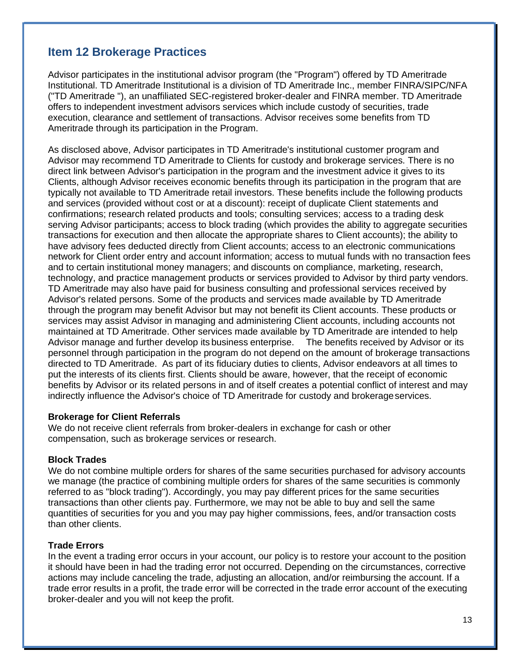# <span id="page-12-0"></span>**Item 12 Brokerage Practices**

Advisor participates in the institutional advisor program (the "Program") offered by TD Ameritrade Institutional. TD Ameritrade Institutional is a division of TD Ameritrade Inc., member FINRA/SIPC/NFA ("TD Ameritrade "), an unaffiliated SEC-registered broker-dealer and FINRA member. TD Ameritrade offers to independent investment advisors services which include custody of securities, trade execution, clearance and settlement of transactions. Advisor receives some benefits from TD Ameritrade through its participation in the Program.

As disclosed above, Advisor participates in TD Ameritrade's institutional customer program and Advisor may recommend TD Ameritrade to Clients for custody and brokerage services. There is no direct link between Advisor's participation in the program and the investment advice it gives to its Clients, although Advisor receives economic benefits through its participation in the program that are typically not available to TD Ameritrade retail investors. These benefits include the following products and services (provided without cost or at a discount): receipt of duplicate Client statements and confirmations; research related products and tools; consulting services; access to a trading desk serving Advisor participants; access to block trading (which provides the ability to aggregate securities transactions for execution and then allocate the appropriate shares to Client accounts); the ability to have advisory fees deducted directly from Client accounts; access to an electronic communications network for Client order entry and account information; access to mutual funds with no transaction fees and to certain institutional money managers; and discounts on compliance, marketing, research, technology, and practice management products or services provided to Advisor by third party vendors. TD Ameritrade may also have paid for business consulting and professional services received by Advisor's related persons. Some of the products and services made available by TD Ameritrade through the program may benefit Advisor but may not benefit its Client accounts. These products or services may assist Advisor in managing and administering Client accounts, including accounts not maintained at TD Ameritrade. Other services made available by TD Ameritrade are intended to help Advisor manage and further develop its business enterprise. The benefits received by Advisor or its personnel through participation in the program do not depend on the amount of brokerage transactions directed to TD Ameritrade. As part of its fiduciary duties to clients, Advisor endeavors at all times to put the interests of its clients first. Clients should be aware, however, that the receipt of economic benefits by Advisor or its related persons in and of itself creates a potential conflict of interest and may indirectly influence the Advisor's choice of TD Ameritrade for custody and brokerageservices.

#### <span id="page-12-1"></span>**Brokerage for Client Referrals**

We do not receive client referrals from broker-dealers in exchange for cash or other compensation, such as brokerage services or research.

#### <span id="page-12-2"></span>**Block Trades**

We do not combine multiple orders for shares of the same securities purchased for advisory accounts we manage (the practice of combining multiple orders for shares of the same securities is commonly referred to as "block trading"). Accordingly, you may pay different prices for the same securities transactions than other clients pay. Furthermore, we may not be able to buy and sell the same quantities of securities for you and you may pay higher commissions, fees, and/or transaction costs than other clients.

#### <span id="page-12-3"></span>**Trade Errors**

In the event a trading error occurs in your account, our policy is to restore your account to the position it should have been in had the trading error not occurred. Depending on the circumstances, corrective actions may include canceling the trade, adjusting an allocation, and/or reimbursing the account. If a trade error results in a profit, the trade error will be corrected in the trade error account of the executing broker-dealer and you will not keep the profit.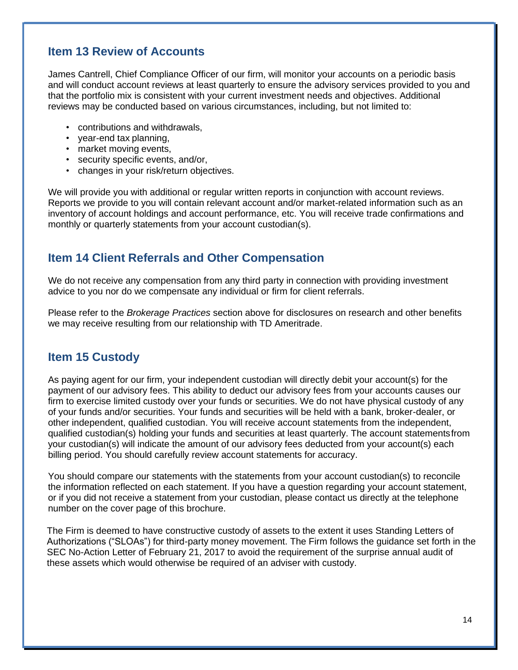# <span id="page-13-0"></span>**Item 13 Review of Accounts**

James Cantrell, Chief Compliance Officer of our firm, will monitor your accounts on a periodic basis and will conduct account reviews at least quarterly to ensure the advisory services provided to you and that the portfolio mix is consistent with your current investment needs and objectives. Additional reviews may be conducted based on various circumstances, including, but not limited to:

- contributions and withdrawals,
- year-end tax planning,
- market moving events,
- security specific events, and/or,
- changes in your risk/return objectives.

We will provide you with additional or regular written reports in conjunction with account reviews. Reports we provide to you will contain relevant account and/or market-related information such as an inventory of account holdings and account performance, etc. You will receive trade confirmations and monthly or quarterly statements from your account custodian(s).

# <span id="page-13-1"></span>**Item 14 Client Referrals and Other Compensation**

We do not receive any compensation from any third party in connection with providing investment advice to you nor do we compensate any individual or firm for client referrals.

Please refer to the *Brokerage Practices* section above for disclosures on research and other benefits we may receive resulting from our relationship with TD Ameritrade.

### <span id="page-13-2"></span>**Item 15 Custody**

As paying agent for our firm, your independent custodian will directly debit your account(s) for the payment of our advisory fees. This ability to deduct our advisory fees from your accounts causes our firm to exercise limited custody over your funds or securities. We do not have physical custody of any of your funds and/or securities. Your funds and securities will be held with a bank, broker-dealer, or other independent, qualified custodian. You will receive account statements from the independent, qualified custodian(s) holding your funds and securities at least quarterly. The account statementsfrom your custodian(s) will indicate the amount of our advisory fees deducted from your account(s) each billing period. You should carefully review account statements for accuracy.

You should compare our statements with the statements from your account custodian(s) to reconcile the information reflected on each statement. If you have a question regarding your account statement, or if you did not receive a statement from your custodian, please contact us directly at the telephone number on the cover page of this brochure.

The Firm is deemed to have constructive custody of assets to the extent it uses Standing Letters of Authorizations ("SLOAs") for third-party money movement. The Firm follows the guidance set forth in the SEC No-Action Letter of February 21, 2017 to avoid the requirement of the surprise annual audit of these assets which would otherwise be required of an adviser with custody.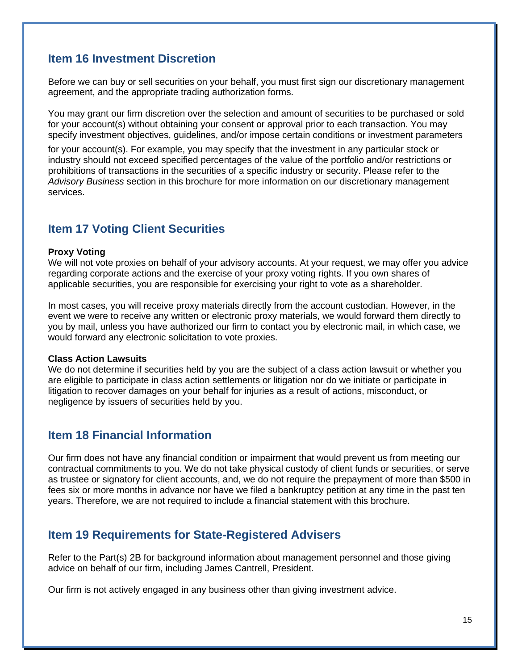### <span id="page-14-0"></span>**Item 16 Investment Discretion**

Before we can buy or sell securities on your behalf, you must first sign our discretionary management agreement, and the appropriate trading authorization forms.

You may grant our firm discretion over the selection and amount of securities to be purchased or sold for your account(s) without obtaining your consent or approval prior to each transaction. You may specify investment objectives, guidelines, and/or impose certain conditions or investment parameters

for your account(s). For example, you may specify that the investment in any particular stock or industry should not exceed specified percentages of the value of the portfolio and/or restrictions or prohibitions of transactions in the securities of a specific industry or security. Please refer to the *Advisory Business* section in this brochure for more information on our discretionary management services.

### <span id="page-14-1"></span>**Item 17 Voting Client Securities**

#### <span id="page-14-2"></span>**Proxy Voting**

We will not vote proxies on behalf of your advisory accounts. At your request, we may offer you advice regarding corporate actions and the exercise of your proxy voting rights. If you own shares of applicable securities, you are responsible for exercising your right to vote as a shareholder.

In most cases, you will receive proxy materials directly from the account custodian. However, in the event we were to receive any written or electronic proxy materials, we would forward them directly to you by mail, unless you have authorized our firm to contact you by electronic mail, in which case, we would forward any electronic solicitation to vote proxies.

#### <span id="page-14-3"></span>**Class Action Lawsuits**

We do not determine if securities held by you are the subject of a class action lawsuit or whether you are eligible to participate in class action settlements or litigation nor do we initiate or participate in litigation to recover damages on your behalf for injuries as a result of actions, misconduct, or negligence by issuers of securities held by you.

### <span id="page-14-4"></span>**Item 18 Financial Information**

Our firm does not have any financial condition or impairment that would prevent us from meeting our contractual commitments to you. We do not take physical custody of client funds or securities, or serve as trustee or signatory for client accounts, and, we do not require the prepayment of more than \$500 in fees six or more months in advance nor have we filed a bankruptcy petition at any time in the past ten years. Therefore, we are not required to include a financial statement with this brochure.

### <span id="page-14-5"></span>**Item 19 Requirements for State-Registered Advisers**

Refer to the Part(s) 2B for background information about management personnel and those giving advice on behalf of our firm, including James Cantrell, President.

Our firm is not actively engaged in any business other than giving investment advice.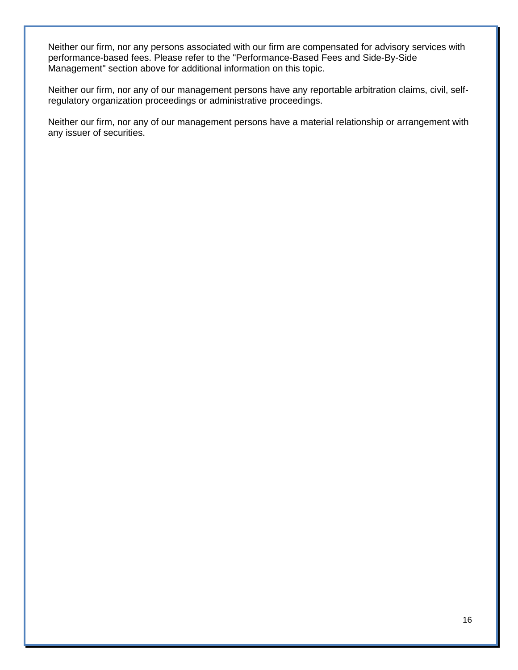Neither our firm, nor any persons associated with our firm are compensated for advisory services with performance-based fees. Please refer to the "Performance-Based Fees and Side-By-Side Management" section above for additional information on this topic.

Neither our firm, nor any of our management persons have any reportable arbitration claims, civil, selfregulatory organization proceedings or administrative proceedings.

Neither our firm, nor any of our management persons have a material relationship or arrangement with any issuer of securities.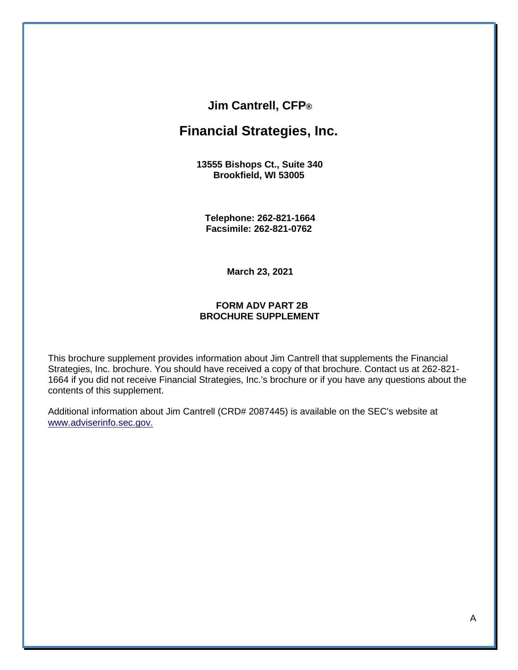### **Jim Cantrell, CFP®**

# **Financial Strategies, Inc.**

**13555 Bishops Ct., Suite 340 Brookfield, WI 53005**

**Telephone: 262-821-1664 Facsimile: 262-821-0762**

**March 23, 2021**

#### **FORM ADV PART 2B BROCHURE SUPPLEMENT**

<span id="page-16-0"></span>This brochure supplement provides information about Jim Cantrell that supplements the Financial Strategies, Inc. brochure. You should have received a copy of that brochure. Contact us at 262-821- 1664 if you did not receive Financial Strategies, Inc.'s brochure or if you have any questions about the contents of this supplement.

Additional information about Jim Cantrell (CRD# 2087445) is available on the SEC's website at [www.adviserinfo.sec.gov.](http://www.adviserinfo.sec.gov/)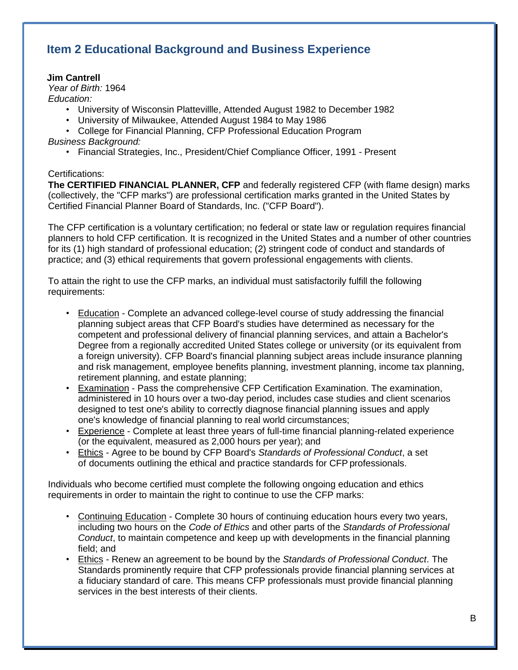# **Item 2 Educational Background and Business Experience**

### **Jim Cantrell**

*Year of Birth:* 1964

*Education:*

- University of Wisconsin Plattevillle, Attended August 1982 to December 1982
- University of Milwaukee, Attended August 1984 to May 1986
- College for Financial Planning, CFP Professional Education Program *Business Background:*
	- Financial Strategies, Inc., President/Chief Compliance Officer, 1991 Present

### Certifications:

**The CERTIFIED FINANCIAL PLANNER, CFP** and federally registered CFP (with flame design) marks (collectively, the "CFP marks") are professional certification marks granted in the United States by Certified Financial Planner Board of Standards, Inc. ("CFP Board").

The CFP certification is a voluntary certification; no federal or state law or regulation requires financial planners to hold CFP certification. It is recognized in the United States and a number of other countries for its (1) high standard of professional education; (2) stringent code of conduct and standards of practice; and (3) ethical requirements that govern professional engagements with clients.

To attain the right to use the CFP marks, an individual must satisfactorily fulfill the following requirements:

- Education Complete an advanced college-level course of study addressing the financial planning subject areas that CFP Board's studies have determined as necessary for the competent and professional delivery of financial planning services, and attain a Bachelor's Degree from a regionally accredited United States college or university (or its equivalent from a foreign university). CFP Board's financial planning subject areas include insurance planning and risk management, employee benefits planning, investment planning, income tax planning, retirement planning, and estate planning;
- Examination Pass the comprehensive CFP Certification Examination. The examination, administered in 10 hours over a two-day period, includes case studies and client scenarios designed to test one's ability to correctly diagnose financial planning issues and apply one's knowledge of financial planning to real world circumstances;
- Experience Complete at least three years of full-time financial planning-related experience (or the equivalent, measured as 2,000 hours per year); and
- Ethics Agree to be bound by CFP Board's *Standards of Professional Conduct*, a set of documents outlining the ethical and practice standards for CFP professionals.

Individuals who become certified must complete the following ongoing education and ethics requirements in order to maintain the right to continue to use the CFP marks:

- Continuing Education Complete 30 hours of continuing education hours every two years, including two hours on the *Code of Ethics* and other parts of the *Standards of Professional Conduct*, to maintain competence and keep up with developments in the financial planning field; and
- Ethics Renew an agreement to be bound by the *Standards of Professional Conduct*. The Standards prominently require that CFP professionals provide financial planning services at a fiduciary standard of care. This means CFP professionals must provide financial planning services in the best interests of their clients.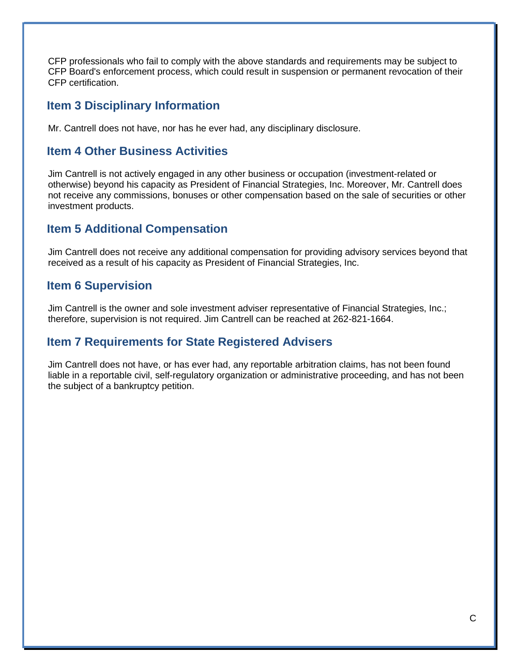CFP professionals who fail to comply with the above standards and requirements may be subject to CFP Board's enforcement process, which could result in suspension or permanent revocation of their CFP certification.

## **Item 3 Disciplinary Information**

Mr. Cantrell does not have, nor has he ever had, any disciplinary disclosure.

### **Item 4 Other Business Activities**

Jim Cantrell is not actively engaged in any other business or occupation (investment-related or otherwise) beyond his capacity as President of Financial Strategies, Inc. Moreover, Mr. Cantrell does not receive any commissions, bonuses or other compensation based on the sale of securities or other investment products.

### **Item 5 Additional Compensation**

Jim Cantrell does not receive any additional compensation for providing advisory services beyond that received as a result of his capacity as President of Financial Strategies, Inc.

### **Item 6 Supervision**

Jim Cantrell is the owner and sole investment adviser representative of Financial Strategies, Inc.; therefore, supervision is not required. Jim Cantrell can be reached at 262-821-1664.

# **Item 7 Requirements for State Registered Advisers**

Jim Cantrell does not have, or has ever had, any reportable arbitration claims, has not been found liable in a reportable civil, self-regulatory organization or administrative proceeding, and has not been the subject of a bankruptcy petition.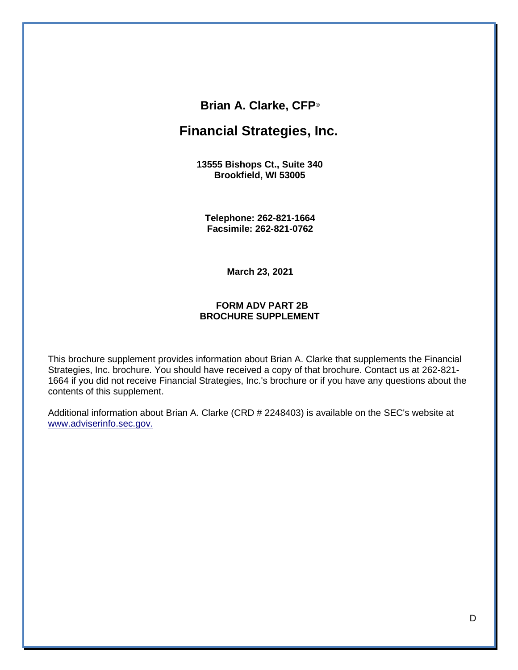### **Brian A. Clarke, CFP**®

# **Financial Strategies, Inc.**

**13555 Bishops Ct., Suite 340 Brookfield, WI 53005**

**Telephone: 262-821-1664 Facsimile: 262-821-0762**

**March 23, 2021**

#### **FORM ADV PART 2B BROCHURE SUPPLEMENT**

<span id="page-19-0"></span>This brochure supplement provides information about Brian A. Clarke that supplements the Financial Strategies, Inc. brochure. You should have received a copy of that brochure. Contact us at 262-821- 1664 if you did not receive Financial Strategies, Inc.'s brochure or if you have any questions about the contents of this supplement.

Additional information about Brian A. Clarke (CRD # 2248403) is available on the SEC's website at [www.adviserinfo.sec.gov.](http://www.adviserinfo.sec.gov/)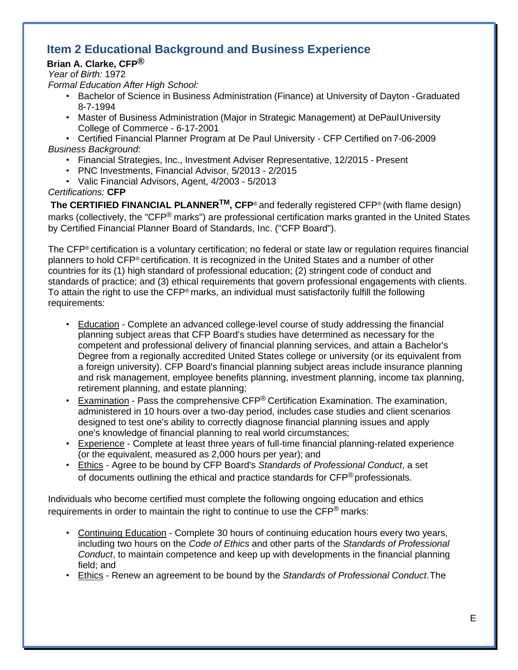# **Item 2 Educational Background and Business Experience**

### **Brian A. Clarke, CFP®**

*Year of Birth:* 1972

*Formal Education After High School:*

- Bachelor of Science in Business Administration (Finance) at University of Dayton -Graduated 8-7-1994
- Master of Business Administration (Major in Strategic Management) at DePaulUniversity College of Commerce - 6-17-2001

• Certified Financial Planner Program at De Paul University - CFP Certified on 7-06-2009 *Business Background*:

- Financial Strategies, Inc., Investment Adviser Representative, 12/2015 Present
- PNC Investments, Financial Advisor, 5/2013 2/2015
- Valic Financial Advisors, Agent, 4/2003 5/2013

*Certifications:* **CFP**

**The CERTIFIED FINANCIAL PLANNERTM, CFP**® and federally registered CFP® (with flame design) marks (collectively, the "CFP® marks") are professional certification marks granted in the United States by Certified Financial Planner Board of Standards, Inc. ("CFP Board").

The CFP® certification is a voluntary certification; no federal or state law or regulation requires financial planners to hold CFP® certification. It is recognized in the United States and a number of other countries for its (1) high standard of professional education; (2) stringent code of conduct and standards of practice; and (3) ethical requirements that govern professional engagements with clients. To attain the right to use the CFP<sup>®</sup> marks, an individual must satisfactorily fulfill the following requirements:

- Education Complete an advanced college-level course of study addressing the financial planning subject areas that CFP Board's studies have determined as necessary for the competent and professional delivery of financial planning services, and attain a Bachelor's Degree from a regionally accredited United States college or university (or its equivalent from a foreign university). CFP Board's financial planning subject areas include insurance planning and risk management, employee benefits planning, investment planning, income tax planning, retirement planning, and estate planning;
- Examination Pass the comprehensive  $CFP^{\odot}$  Certification Examination. The examination, administered in 10 hours over a two-day period, includes case studies and client scenarios designed to test one's ability to correctly diagnose financial planning issues and apply one's knowledge of financial planning to real world circumstances;
- Experience Complete at least three years of full-time financial planning-related experience (or the equivalent, measured as 2,000 hours per year); and
- Ethics Agree to be bound by CFP Board's *Standards of Professional Conduct*, a set of documents outlining the ethical and practice standards for CFP<sup>®</sup> professionals.

Individuals who become certified must complete the following ongoing education and ethics requirements in order to maintain the right to continue to use the  $\text{CFP}^{\textcircled{e}}$  marks:

- Continuing Education Complete 30 hours of continuing education hours every two years, including two hours on the *Code of Ethics* and other parts of the *Standards of Professional Conduct*, to maintain competence and keep up with developments in the financial planning field; and
- Ethics Renew an agreement to be bound by the *Standards of Professional Conduct*.The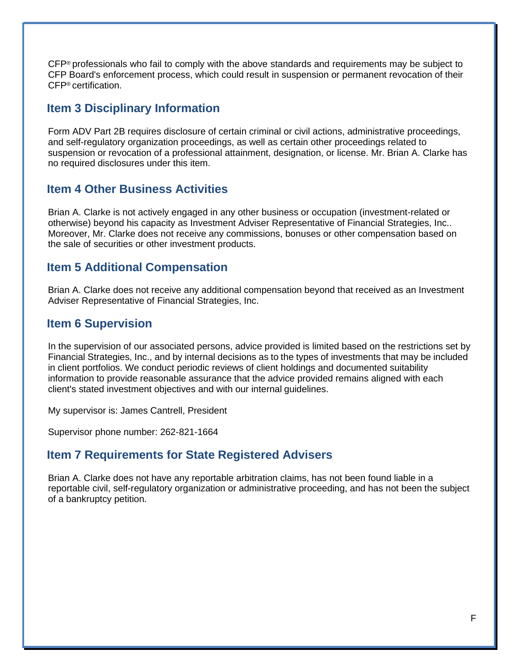CFP® professionals who fail to comply with the above standards and requirements may be subject to CFP Board's enforcement process, which could result in suspension or permanent revocation of their CFP® certification.

### **Item 3 Disciplinary Information**

Form ADV Part 2B requires disclosure of certain criminal or civil actions, administrative proceedings, and self-regulatory organization proceedings, as well as certain other proceedings related to suspension or revocation of a professional attainment, designation, or license. Mr. Brian A. Clarke has no required disclosures under this item.

### **Item 4 Other Business Activities**

Brian A. Clarke is not actively engaged in any other business or occupation (investment-related or otherwise) beyond his capacity as Investment Adviser Representative of Financial Strategies, Inc.. Moreover, Mr. Clarke does not receive any commissions, bonuses or other compensation based on the sale of securities or other investment products.

### **Item 5 Additional Compensation**

Brian A. Clarke does not receive any additional compensation beyond that received as an Investment Adviser Representative of Financial Strategies, Inc.

### **Item 6 Supervision**

In the supervision of our associated persons, advice provided is limited based on the restrictions set by Financial Strategies, Inc., and by internal decisions as to the types of investments that may be included in client portfolios. We conduct periodic reviews of client holdings and documented suitability information to provide reasonable assurance that the advice provided remains aligned with each client's stated investment objectives and with our internal guidelines.

My supervisor is: James Cantrell, President

Supervisor phone number: 262-821-1664

# **Item 7 Requirements for State Registered Advisers**

Brian A. Clarke does not have any reportable arbitration claims, has not been found liable in a reportable civil, self-regulatory organization or administrative proceeding, and has not been the subject of a bankruptcy petition.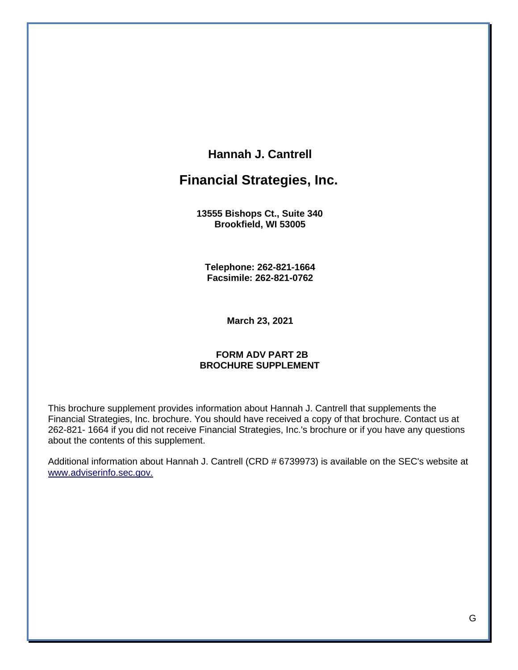### **Hannah J. Cantrell**

# **Financial Strategies, Inc.**

**13555 Bishops Ct., Suite 340 Brookfield, WI 53005**

**Telephone: 262-821-1664 Facsimile: 262-821-0762**

**March 23, 2021**

#### **FORM ADV PART 2B BROCHURE SUPPLEMENT**

<span id="page-22-0"></span>This brochure supplement provides information about Hannah J. Cantrell that supplements the Financial Strategies, Inc. brochure. You should have received a copy of that brochure. Contact us at 262-821- 1664 if you did not receive Financial Strategies, Inc.'s brochure or if you have any questions about the contents of this supplement.

Additional information about Hannah J. Cantrell (CRD # 6739973) is available on the SEC's website at [www.adviserinfo.sec.gov.](http://www.adviserinfo.sec.gov/)